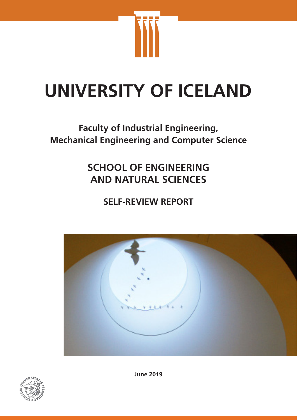

# **UNIVERSITY OF ICELAND**

# **Faculty of Industrial Engineering, Mechanical Engineering and Computer Science**

# **SCHOOL OF ENGINEERING AND NATURAL SCIENCES**

**SELF-REVIEW REPORT**





**June 2019**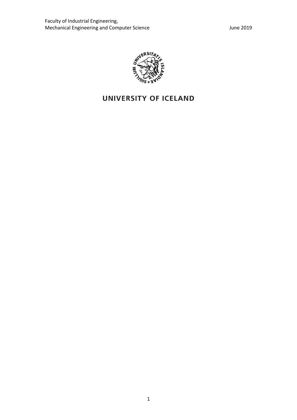

# UNIVERSITY OF ICELAND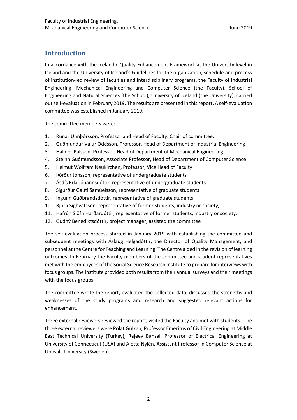# **Introduction**

In accordance with the Icelandic Quality Enhancement Framework at the University level in Iceland and the University of Iceland's Guidelines for the organization, schedule and process of institution-led review of faculties and interdisciplinary programs, the Faculty of Industrial Engineering, Mechanical Engineering and Computer Science (the Faculty), School of Engineering and Natural Sciences (the School), University of Iceland (the University), carried out self-evaluation in February 2019. The results are presented in this report. A self-evaluation committee was established in January 2019.

The committee members were:

- 1. Rúnar Unnþórsson, Professor and Head of Faculty. Chair of committee.
- 2. Guðmundur Valur Oddsson, Professor, Head of Department of Industrial Engineering
- 3. Halldór Pálsson, Professor, Head of Department of Mechanical Engineering
- 4. Steinn Guðmundsson, Associate Professor, Head of Department of Computer Science
- 5. Helmut Wolfram Neukirchen, Professor, Vice Head of Faculty
- 6. Þórður Jónsson, representative of undergraduate students
- 7. Ásdís Erla Jóhannsdóttir, representative of undergraduate students
- 8. Sigurður Gauti Samúelsson, representative of graduate students
- 9. Ingunn Guðbrandsdóttir, representative of graduate students
- 10. Björn Sighvatsson, representative of former students, industry or society,
- 11. Hafrún Sjöfn Harðardóttir, representative of former students, industry or society,
- 12. Guðný Benediktsdóttir, project manager, assisted the committee

The self-evaluation process started in January 2019 with establishing the committee and subsequent meetings with Áslaug Helgadóttir, the Director of Quality Management, and personnel at the Centre for Teaching and Learning. The Centre aided in the revision of learning outcomes. In February the Faculty members of the committee and student representatives met with the employees of the Social Science Research Institute to prepare for interviews with focus groups. The Institute provided both results from their annual surveys and their meetings with the focus groups.

The committee wrote the report, evaluated the collected data, discussed the strengths and weaknesses of the study programs and research and suggested relevant actions for enhancement.

Three external reviewers reviewed the report, visited the Faculty and met with students. The three external reviewers were Polat Gülkan, Professor Emeritus of Civil Engineering at Middle East Technical University (Turkey), Rajeev Bansal, Professor of Electrical Engineering at University of Connecticut (USA) and Aletta Nylén, Assistant Professor in Computer Science at Uppsala University (Sweden).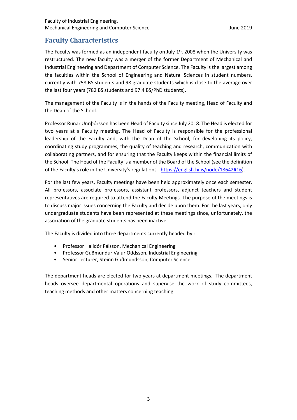# **Faculty Characteristics**

The Faculty was formed as an independent faculty on July  $1<sup>st</sup>$ , 2008 when the University was restructured. The new faculty was a merger of the former Department of Mechanical and Industrial Engineering and Department of Computer Science. The Faculty is the largest among the faculties within the School of Engineering and Natural Sciences in student numbers, currently with 758 BS students and 98 graduate students which is close to the average over the last four years (782 BS students and 97.4 BS/PhD students).

The management of the Faculty is in the hands of the Faculty meeting, Head of Faculty and the Dean of the School.

Professor Rúnar Unnþórsson has been Head of Faculty since July 2018. The Head is elected for two years at a Faculty meeting. The Head of Faculty is responsible for the professional leadership of the Faculty and, with the Dean of the School, for developing its policy, coordinating study programmes, the quality of teaching and research, communication with collaborating partners, and for ensuring that the Faculty keeps within the financial limits of the School. The Head of the Faculty is a member of the Board of the School (see the definition of the Faculty's role in the University's regulations - https://english.hi.is/node/18642#16).

For the last few years, Faculty meetings have been held approximately once each semester. All professors, associate professors, assistant professors, adjunct teachers and student representatives are required to attend the Faculty Meetings. The purpose of the meetings is to discuss major issues concerning the Faculty and decide upon them. For the last years, only undergraduate students have been represented at these meetings since, unfortunately, the association of the graduate students has been inactive.

The Faculty is divided into three departments currently headed by :

- Professor Halldór Pálsson, Mechanical Engineering
- Professor Guðmundur Valur Oddsson, Industrial Engineering
- Senior Lecturer, Steinn Guðmundsson, Computer Science

The department heads are elected for two years at department meetings. The department heads oversee departmental operations and supervise the work of study committees, teaching methods and other matters concerning teaching.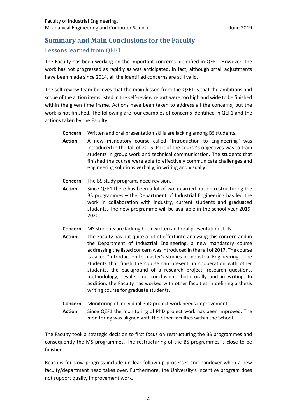# **Summary and Main Conclusions for the Faculty** Lessons learned from QEF1

The Faculty has been working on the important concerns identified in QEF1. However, the work has not progressed as rapidly as was anticipated. In fact, although small adjustments have been made since 2014, all the identified concerns are still valid.

The self-review team believes that the main lesson from the QEF1 is that the ambitions and scope of the action items listed in the self-review report were too high and wide to be finished within the given time frame. Actions have been taken to address all the concerns, but the work is not finished. The following are four examples of concerns identified in QEF1 and the actions taken by the Faculty:

- **Concern**: Written and oral presentation skills are lacking among BS students.
- **Action** A new mandatory course called "Introduction to Engineering" was introduced in the fall of 2015. Part of the course's objectives was to train students in group work and technical communication. The students that finished the course were able to effectively communicate challenges and engineering solutions verbally, in writing and visually.
- **Concern**: The BS study programs need revision.
- **Action** Since QEF1 there has been a lot of work carried out on restructuring the BS programmes – the Department of Industrial Engineering has led the work in collaboration with industry, current students and graduated students. The new programme will be available in the school year 2019- 2020.
- **Concern**: MS students are lacking both written and oral presentation skills.
- **Action** The Faculty has put quite a lot of effort into analysing this concern and in the Department of Industrial Engineering, a new mandatory course addressing the listed concern was introduced in the fall of 2017. The course is called "Introduction to master's studies in Industrial Engineering". The students that finish the course can present, in cooperation with other students, the background of a research project, research questions, methodology, results and conclusions, both orally and in writing. In addition, the Faculty has worked with other faculties in defining a thesis writing course for graduate students.
- **Concern**: Monitoring of individual PhD project work needs improvement.
- **Action** Since QEF1 the monitoring of PhD project work has been improved. The monitoring was aligned with the other faculties within the School.

The Faculty took a strategic decision to first focus on restructuring the BS programmes and consequently the MS programmes. The restructuring of the BS programmes is close to be finished.

Reasons for slow progress include unclear follow-up processes and handover when a new faculty/department head takes over. Furthermore, the University's incentive program does not support quality improvement work.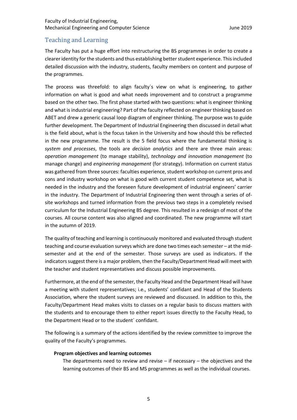#### Faculty of Industrial Engineering, Mechanical Engineering and Computer Science **Mechanical Engineering** and Computer Science

## Teaching and Learning

The Faculty has put a huge effort into restructuring the BS programmes in order to create a clearer identity for the students and thus establishing better student experience. This included detailed discussion with the industry, students, faculty members on content and purpose of the programmes.

The process was threefold: to align faculty´s view on what is engineering, to gather information on what is good and what needs improvement and to construct a programme based on the other two. The first phase started with two questions: what is engineer thinking and what is industrial engineering? Part of the faculty reflected on engineer thinking based on ABET and drew a generic causal loop diagram of engineer thinking. The purpose was to guide further development. The Department of Industrial Engineering then discussed in detail what is the field about, what is the focus taken in the University and how should this be reflected in the new programme. The result is the 5 field focus where the fundamental thinking is *system and processes*, the tools are *decision analytics* and there are three main areas: *operation management* (to manage stability), *technology and innovation management* (to manage change) and *engineering management* (for strategy). Information on current status was gathered from three sources: faculties experience, student workshop on current pros and cons and industry workshop on what is good with current student competence set, what is needed in the industry and the foreseen future development of industrial engineers' carrier in the industry. The Department of Industrial Engineering then went through a series of ofsite workshops and turned information from the previous two steps in a completely revised curriculum for the Industrial Engineering BS degree. This resulted in a redesign of most of the courses. All course content was also aligned and coordinated. The new programme will start in the autumn of 2019.

The quality of teaching and learning is continuously monitored and evaluated through student teaching and course evaluation surveys which are done two times each semester – at the midsemester and at the end of the semester. Those surveys are used as indicators. If the indicators suggest there is a major problem, then the Faculty/Department Head will meet with the teacher and student representatives and discuss possible improvements.

Furthermore, at the end of the semester, the Faculty Head and the Department Head will have a meeting with student representatives; i.e., students' confidant and Head of the Students Association, where the student surveys are reviewed and discussed. In addition to this, the Faculty/Department Head makes visits to classes on a regular basis to discuss matters with the students and to encourage them to either report issues directly to the Faculty Head, to the Department Head or to the student´ confidant.

The following is a summary of the actions identified by the review committee to improve the quality of the Faculty's programmes.

#### **Program objectives and learning outcomes**

The departments need to review and revise  $-$  if necessary  $-$  the objectives and the learning outcomes of their BS and MS programmes as well as the individual courses.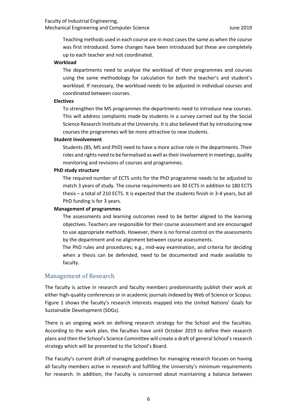#### Faculty of Industrial Engineering, Mechanical Engineering and Computer Science **Mechanical Engineering** and Computer Science

Teaching methods used in each course are in most cases the same as when the course was first introduced. Some changes have been introduced but these are completely up to each teacher and not coordinated.

#### **Workload**

The departments need to analyse the workload of their programmes and courses using the same methodology for calculation for both the teacher's and student's workload. If necessary, the workload needs to be adjusted in individual courses and coordinated between courses.

#### **Electives**

To strengthen the MS programmes the departments need to introduce new courses. This will address complaints made by students in a survey carried out by the Social Science Research Institute at the University. It is also believed that by introducing new courses the programmes will be more attractive to new students.

#### **Student involvement**

Students (BS, MS and PhD) need to have a more active role in the departments. Their roles and rights need to be formalised as well as their involvement in meetings, quality monitoring and revisions of courses and programmes.

#### **PhD study structure**

The required number of ECTS units for the PhD programme needs to be adjusted to match 3 years of study. The course requirements are 30 ECTS in addition to 180 ECTS thesis – a total of 210 ECTS. It is expected that the students finish in 3-4 years, but all PhD funding is for 3 years.

#### **Management of programmes**

The assessments and learning outcomes need to be better aligned to the learning objectives. Teachers are responsible for their course assessment and are encouraged to use appropriate methods. However, there is no formal control on the assessments by the department and no alignment between course assessments.

The PhD rules and procedures; e.g., mid-way examination, and criteria for deciding when a thesis can be defended, need to be documented and made available to faculty.

#### Management of Research

The faculty is active in research and faculty members predominantly publish their work at either high-quality conferences or in academic journals indexed by Web of Science or Scopus. Figure 1 shows the faculty's research interests mapped into the United Nations' Goals for Sustainable Development (SDGs).

There is an ongoing work on defining research strategy for the School and the faculties. According to the work plan, the faculties have until October 2019 to define their research plans and then the School's Science Committee will create a draft of general School's research strategy which will be presented to the School's Board.

The Faculty's current draft of managing guidelines for managing research focuses on having all faculty members active in research and fulfilling the University's minimum requirements for research. In addition, the Faculty is concerned about maintaining a balance between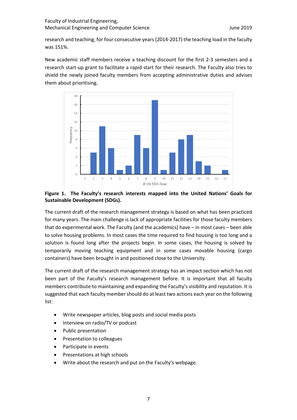research and teaching; for four consecutive years (2014-2017) the teaching load in the faculty was 151%.

New academic staff members receive a teaching discount for the first 2-3 semesters and a research start-up grant to facilitate a rapid start for their research. The Faculty also tries to shield the newly joined faculty members from accepting administrative duties and advises them about prioritising.



#### **Figure 1. The Faculty's research interests mapped into the United Nations' Goals for Sustainable Development (SDGs).**

The current draft of the research management strategy is based on what has been practiced for many years. The main challenge is lack of appropriate facilities for those faculty members that do experimental work. The Faculty (and the academics) have – in most cases – been able to solve housing problems. In most cases the time required to find housing is too long and a solution is found long after the projects begin. In some cases, the housing is solved by temporarily moving teaching equipment and in some cases movable housing (cargo containers) have been brought in and positioned close to the University.

The current draft of the research management strategy has an impact section which has not been part of the Faculty's research management before. It is important that all faculty members contribute to maintaining and expanding the Faculty's visibility and reputation. It is suggested that each faculty member should do at least two actions each year on the following list:

- Write newspaper articles, blog posts and social media posts
- Interview on radio/TV or podcast
- Public presentation
- Presentation to colleagues
- Participate in events
- Presentations at high schools
- Write about the research and put on the Faculty's webpage.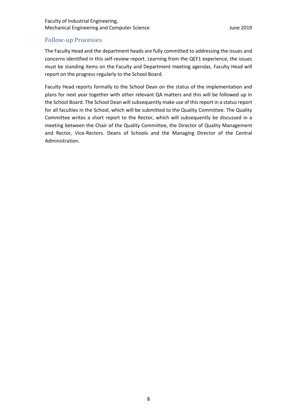#### Faculty of Industrial Engineering, Mechanical Engineering and Computer Science **June 2019** June 2019

## Follow-up Processes

The Faculty Head and the department heads are fully committed to addressing the issues and concerns identified in this self-review report. Learning from the QEF1 experience, the issues must be standing items on the Faculty and Department meeting agendas. Faculty Head will report on the progress regularly to the School Board.

Faculty Head reports formally to the School Dean on the status of the implementation and plans for next year together with other relevant QA matters and this will be followed up in the School Board. The School Dean will subsequently make use of this report in a status report for all faculties in the School, which will be submitted to the Quality Committee. The Quality Committee writes a short report to the Rector, which will subsequently be discussed in a meeting between the Chair of the Quality Committee, the Director of Quality Management and Rector, Vice-Rectors. Deans of Schools and the Managing Director of the Central Administration.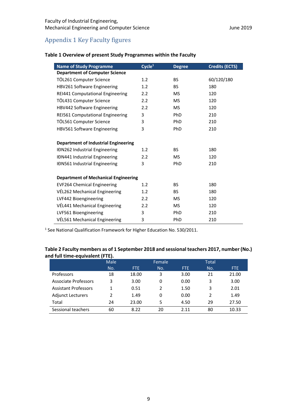# Appendix 1 Key Faculty figures

| <b>Name of Study Programme</b>              | Cycle <sup>1</sup> | <b>Degree</b> | <b>Credits (ECTS)</b> |
|---------------------------------------------|--------------------|---------------|-----------------------|
| <b>Department of Computer Science</b>       |                    |               |                       |
| TÖL261 Computer Science                     | 1.2                | <b>BS</b>     | 60/120/180            |
| HBV261 Software Engineering                 | 1.2                | BS.           | 180                   |
| REI441 Computational Engineering            | $2.2\phantom{0}$   | <b>MS</b>     | 120                   |
| TÖL431 Computer Science                     | 2.2                | <b>MS</b>     | 120                   |
| HBV442 Software Engineering                 | 2.2                | MS.           | 120                   |
| REI561 Computational Engineering            | 3                  | <b>PhD</b>    | 210                   |
| TÖL561 Computer Science                     | 3                  | <b>PhD</b>    | 210                   |
| HBV561 Software Engineering                 | 3                  | <b>PhD</b>    | 210                   |
|                                             |                    |               |                       |
| <b>Department of Industrial Engineering</b> |                    |               |                       |
| IĐN262 Industrial Engineering               | 1.2                | BS.           | 180                   |
| IĐN441 Industrial Engineering               | 2.2                | MS.           | 120                   |
| <b>IDN561 Industrial Engineering</b>        | 3                  | <b>PhD</b>    | 210                   |
|                                             |                    |               |                       |
| <b>Department of Mechanical Engineering</b> |                    |               |                       |
| <b>EVF264 Chemical Engineering</b>          | 1.2                | <b>BS</b>     | 180                   |
| VÉL262 Mechanical Engineering               | 1.2                | BS.           | 180                   |
| LVF442 Bioengineering                       | $2.2\phantom{0}$   | <b>MS</b>     | 120                   |
| VÉL441 Mechanical Engineering               | 2.2                | MS.           | 120                   |
| LVF561 Bioengineering                       | 3                  | PhD           | 210                   |
| VÉL561 Mechanical Engineering               | 3                  | PhD           | 210                   |

## **Table 1 Overview of present Study Programmes within the Faculty**

<sup>1</sup> See National Qualification Framework for Higher Education No. 530/2011.

#### **Table 2 Faculty members as of 1 September 2018 and sessional teachers 2017, number (No.) and full time-equivalent (FTE).**

|                             | Male |       | Female        |      | <b>Total</b> |       |
|-----------------------------|------|-------|---------------|------|--------------|-------|
|                             | No.  | FTE.  | No.           | FTE. | No.          | FTE.  |
| Professors                  | 18   | 18.00 | 3             | 3.00 | 21           | 21.00 |
| Associate Professors        | 3    | 3.00  | 0             | 0.00 | 3            | 3.00  |
| <b>Assistant Professors</b> |      | 0.51  | $\mathcal{P}$ | 1.50 | 3            | 2.01  |
| <b>Adjunct Lecturers</b>    | 2    | 1.49  | 0             | 0.00 | 2            | 1.49  |
| Total                       | 24   | 23.00 | 5             | 4.50 | 29           | 27.50 |
| Sessional teachers          | 60   | 8.22  | 20            | 2.11 | 80           | 10.33 |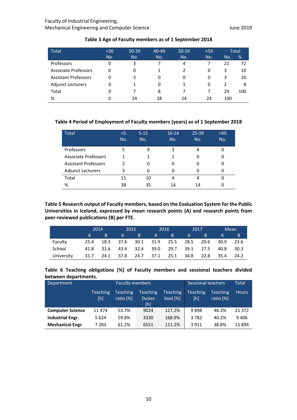#### Faculty of Industrial Engineering, Mechanical Engineering and Computer Science **Mechanical Engineering and Computer Science** June 2019

| <b>Total</b>                | $30$ | $30 - 39$ | $40 - 49$ | $50 - 59$ | $>59$ |               | Total |
|-----------------------------|------|-----------|-----------|-----------|-------|---------------|-------|
|                             | No.  | No.       | No.       | No.       | No.   | No.           | %     |
| Professors                  | 0    | 3         |           | 4         |       | 21            | 72    |
| <b>Associate Professors</b> | 0    | 0         |           |           | 0     | 3             | 10    |
| <b>Assistant Professors</b> | 0    | 3         | 0         | 0         | 0     | 3             | 10    |
| <b>Adjunct Lecturers</b>    | 0    |           | 0         | 1         | 0     | $\mathcal{P}$ | 8     |
| Total                       | 0    |           | 8         |           |       | 29            | 100   |
| %                           |      | 24        | 28        | 24        | 24    | 100           |       |

#### **Table 3 Age of Faculty members as of 1 September 2018**

#### **Table 4 Period of Employment of Faculty members (years) as of 1 September 2018**

| <b>Total</b>                | $<$ 5 | $5 - 15$ | $16 - 24$ | $25 - 39$ | $>40$ |
|-----------------------------|-------|----------|-----------|-----------|-------|
|                             | No.   | No.      | No.       | No.       | No.   |
| Professors                  | 5     | ٩        | 3         | 4         |       |
| <b>Associate Professors</b> |       |          |           |           |       |
| <b>Assistant Professors</b> | າ     | 0        | 0         | 0         |       |
| <b>Adjunct Lecturers</b>    | 3     | 0        |           |           |       |
| Total                       | 11    | 10       | 4         | 4         |       |
| %                           | 38    | 35       | 14        | 14        |       |

**Table 5 Research output of Faculty members, based on the Evaluation System for the Public Universities in Iceland, expressed by mean research points (A) and research points from peer-reviewed publications (B) per FTE.**

|            | 2014                   |      | 2015     |     | 2016 |    | 2017                                    |       | Mean     |        |
|------------|------------------------|------|----------|-----|------|----|-----------------------------------------|-------|----------|--------|
|            | $A \quad \blacksquare$ | ΓB.  | $A \sim$ | ΓB. | A    | B. | <b>A</b>                                | 7 B T | <b>A</b> | /B/    |
| Faculty    | 25.4                   |      |          |     |      |    | 18.3 37.6 30.1 31.9 25.5 28.5 20.6 30.9 |       |          | 23.6   |
| School     | 41.8                   | 31.6 |          |     |      |    | 43.4 32.4 39.0 29.7 39.1 27.5           |       | 40.8     | - 30.3 |
| University | 31.7                   |      |          |     |      |    | 24.1 37.8 24.7 37.1 25.1 34.8 22.8      |       | - 35.4   | 24.2   |

**Table 6 Teaching obligations (%) of Faculty members and sessional teachers divided between departments.**

| Department              | <b>Faculty members</b> |                       |                                         | Sessional teachers          |                        | Total                              |              |
|-------------------------|------------------------|-----------------------|-----------------------------------------|-----------------------------|------------------------|------------------------------------|--------------|
|                         | <b>Teaching</b><br>[h] | Teaching<br>ratio [%] | <b>Teaching</b><br><b>Duties</b><br>[h] | <b>Teaching</b><br>load [%] | <b>Teaching</b><br>[h] | Teaching <sup>'</sup><br>ratio [%] | <b>Hours</b> |
| <b>Computer Science</b> | 11 474                 | 53.7%                 | 9024                                    | 127.2%                      | 9898                   | 46.3%                              | 21 3 72      |
| <b>Industrial Engr.</b> | 5624                   | 59.8%                 | 3330                                    | 168.9%                      | 3782                   | 40.2%                              | 9406         |
| <b>Mechanical Engr.</b> | 7 283                  | 61.2%                 | 6551                                    | 111.2%                      | 3911                   | 38.8%                              | 11894        |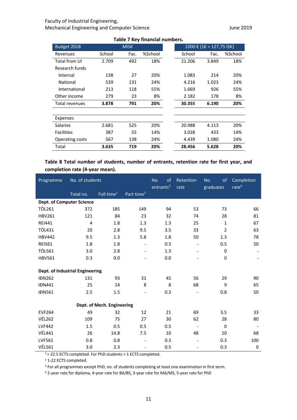#### Faculty of Industrial Engineering, Mechanical Engineering and Computer Science **Mechanical Engineering and Computer Science** June 2019

| Table 7 Rev Infancial Humbers. |        |             |         |                                                      |        |       |         |  |  |
|--------------------------------|--------|-------------|---------|------------------------------------------------------|--------|-------|---------|--|--|
| Budget 2018                    |        | <b>MISK</b> |         | $1000 \text{ € } (1 \text{€ } = 127,75 \text{ ISK})$ |        |       |         |  |  |
| Revenues                       | School | Fac.        | %School |                                                      | School | Fac.  | %School |  |  |
| Total from UI                  | 2.709  | 492         | 18%     |                                                      | 21.206 | 3.849 | 18%     |  |  |
| Research funds                 |        |             |         |                                                      |        |       |         |  |  |
| Internal                       | 138    | 27          | 20%     |                                                      | 1.083  | 214   | 20%     |  |  |
| National                       | 539    | 131         | 24%     |                                                      | 4.216  | 1.023 | 24%     |  |  |
| International                  | 213    | 118         | 55%     |                                                      | 1.669  | 926   | 55%     |  |  |
| Other income                   | 279    | 23          | 8%      |                                                      | 2.182  | 178   | 8%      |  |  |
| Total revenues                 | 3.878  | 791         | 20%     |                                                      | 30.355 | 6.190 | 20%     |  |  |
|                                |        |             |         |                                                      |        |       |         |  |  |
| Expenses                       |        |             |         |                                                      |        |       |         |  |  |
| <b>Salaries</b>                | 2.681  | 525         | 20%     |                                                      | 20.988 | 4.113 | 20%     |  |  |
| <b>Facilities</b>              | 387    | 55          | 14%     |                                                      | 3.028  | 433   | 14%     |  |  |
| Operating costs                | 567    | 138         | 24%     |                                                      | 4.439  | 1.080 | 24%     |  |  |
| Total                          | 3.635  | 719         | 20%     |                                                      | 28.456 | 5.628 | 20%     |  |  |

**Table 7 Key financial numbers.**

## **Table 8 Total number of students, number of entrants, retention rate for first year, and completion rate (4-year mean).**

| Programme                        | No. of students |                            |                          | No.<br>of<br>entrants <sup>3</sup> | Retention<br>rate            | of<br>No.<br>graduates | Completion<br>rate <sup>4</sup> |
|----------------------------------|-----------------|----------------------------|--------------------------|------------------------------------|------------------------------|------------------------|---------------------------------|
|                                  | Total no.       | Full time <sup>1</sup>     | Part time <sup>2</sup>   |                                    |                              |                        |                                 |
| <b>Dept. of Computer Science</b> |                 |                            |                          |                                    |                              |                        |                                 |
| <b>TÖL261</b>                    | 372             | 185                        | 149                      | 94                                 | 53                           | 73                     | 66                              |
| <b>HBV261</b>                    | 121             | 84                         | 23                       | 32                                 | 74                           | 28                     | 81                              |
| <b>REI441</b>                    | 4               | 1.8                        | 1.3                      | 1.3                                | 25                           | $\mathbf{1}$           | 67                              |
| <b>TÖL431</b>                    | 20              | 2.8                        | 9.5                      | 3.5                                | 33                           | $\overline{2}$         | 63                              |
| <b>HBV442</b>                    | 9.5             | 1.3                        | 5.8                      | 1.8                                | 50                           | 1.3                    | 78                              |
| <b>REI561</b>                    | 1.8             | 1.8                        | $\overline{\phantom{a}}$ | 0.3                                |                              | 0.5                    | 50                              |
| <b>TÖL561</b>                    | 3.0             | 2.8                        | $\overline{\phantom{a}}$ | 1.3                                | $\blacksquare$               | $\mathbf 0$            |                                 |
| <b>HBV561</b>                    | 0.3             | 0.0                        | $\overline{\phantom{0}}$ | 0.0                                | $\overline{\phantom{0}}$     | 0                      |                                 |
|                                  |                 |                            |                          |                                    |                              |                        |                                 |
| Dept. of Industrial Engineering  |                 |                            |                          |                                    |                              |                        |                                 |
| <b>IDN262</b>                    | 131             | 93                         | 31                       | 45                                 | 56                           | 29                     | 90                              |
| <b>IDN441</b>                    | 25              | 14                         | 8                        | 8                                  | 68                           | 9                      | 65                              |
| <b>IĐN561</b>                    | 2.5             | 1.5                        | $\overline{\phantom{a}}$ | 0.3                                | $\overline{\phantom{a}}$     | 0.8                    | 50                              |
|                                  |                 | Dept. of Mech. Engineering |                          |                                    |                              |                        |                                 |
| <b>EVF264</b>                    | 49              | 32                         | 12                       | 21                                 | 69                           | 3.5                    | 33                              |
| <b>VÉL262</b>                    | 109             | 75                         | 27                       | 30                                 | 62                           | 28                     | 80                              |
| <b>LVF442</b>                    | 1.5             | 0.5                        | 0.5                      | 0.5                                | $\overline{\phantom{a}}$     | $\Omega$               |                                 |
| <b>VÉL441</b>                    | 26              | 14.8                       | 7.5                      | 10                                 | 48                           | 10                     | 68                              |
| LVF561                           | 0.8             | 0.8                        | $\overline{\phantom{a}}$ | 0.3                                | $\qquad \qquad \blacksquare$ | 0.3                    | 100                             |
| <b>VÉL561</b>                    | 3.0             | 2.3                        | $\overline{\phantom{0}}$ | 0.5                                | $\overline{\phantom{0}}$     | 0.3                    | $\mathbf 0$                     |

1 > 22.5 ECTS completed. For PhD students > 1 ECTS completed.

<sup>2</sup> 1-22 ECTS completed.

<sup>3</sup> For all programmes except PhD, no. of students completing at least one examination in first term.

<sup>4</sup> 2-year rate for diploma, 4-year rate for BA/BS, 3-year rate for MA/MS, 5-year rate for PhD